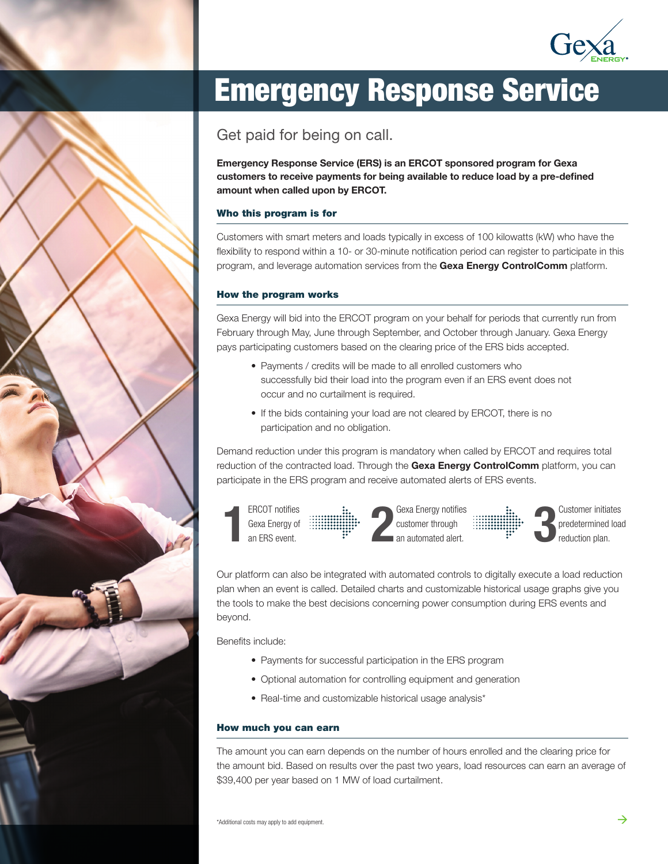

# Emergency Response Service

Get paid for being on call.

Emergency Response Service (ERS) is an ERCOT sponsored program for Gexa customers to receive payments for being available to reduce load by a pre-defined amount when called upon by ERCOT.

## Who this program is for

Customers with smart meters and loads typically in excess of 100 kilowatts (kW) who have the flexibility to respond within a 10- or 30-minute notification period can register to participate in this program, and leverage automation services from the Gexa Energy ControlComm platform.

### How the program works

Gexa Energy will bid into the ERCOT program on your behalf for periods that currently run from February through May, June through September, and October through January. Gexa Energy pays participating customers based on the clearing price of the ERS bids accepted.

- Payments / credits will be made to all enrolled customers who successfully bid their load into the program even if an ERS event does not occur and no curtailment is required.
- If the bids containing your load are not cleared by ERCOT, there is no participation and no obligation.

Demand reduction under this program is mandatory when called by ERCOT and requires total reduction of the contracted load. Through the Gexa Energy ControlComm platform, you can participate in the ERS program and receive automated alerts of ERS events.



Our platform can also be integrated with automated controls to digitally execute a load reduction plan when an event is called. Detailed charts and customizable historical usage graphs give you the tools to make the best decisions concerning power consumption during ERS events and beyond.

Benefits include:

- Payments for successful participation in the ERS program
- Optional automation for controlling equipment and generation
- Real-time and customizable historical usage analysis\*

#### How much you can earn

The amount you can earn depends on the number of hours enrolled and the clearing price for the amount bid. Based on results over the past two years, load resources can earn an average of \$39,400 per year based on 1 MW of load curtailment.

\*Additional costs may apply to add equipment.